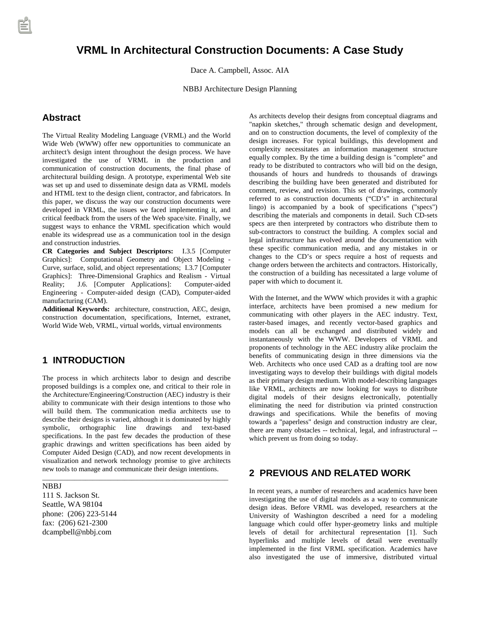# **VRML In Architectural Construction Documents: A Case Study**

Dace A. Campbell, Assoc. AIA

NBBJ Architecture Design Planning

### **Abstract**

The Virtual Reality Modeling Language (VRML) and the World Wide Web (WWW) offer new opportunities to communicate an architect's design intent throughout the design process. We have investigated the use of VRML in the production and communication of construction documents, the final phase of architectural building design. A prototype, experimental Web site was set up and used to disseminate design data as VRML models and HTML text to the design client, contractor, and fabricators. In this paper, we discuss the way our construction documents were developed in VRML, the issues we faced implementing it, and critical feedback from the users of the Web space/site. Finally, we suggest ways to enhance the VRML specification which would enable its widespread use as a communication tool in the design and construction industries.

**CR Categories and Subject Descriptors:** I.3.5 [Computer Graphics]: Computational Geometry and Object Modeling - Curve, surface, solid, and object representations; I.3.7 [Computer Graphics]: Three-Dimensional Graphics and Realism - Virtual Reality; J.6. [Computer Applications]: Computer-aided Engineering - Computer-aided design (CAD), Computer-aided manufacturing (CAM).

**Additional Keywords:** architecture, construction, AEC, design, construction documentation, specifications, Internet, extranet, World Wide Web, VRML, virtual worlds, virtual environments

### **1 INTRODUCTION**

The process in which architects labor to design and describe proposed buildings is a complex one, and critical to their role in the Architecture/Engineering/Construction (AEC) industry is their ability to communicate with their design intentions to those who will build them. The communication media architects use to describe their designs is varied, although it is dominated by highly symbolic, orthographic line drawings and text-based specifications. In the past few decades the production of these graphic drawings and written specifications has been aided by Computer Aided Design (CAD), and now recent developments in visualization and network technology promise to give architects new tools to manage and communicate their design intentions.

\_\_\_\_\_\_\_\_\_\_\_\_\_\_\_\_\_\_\_\_\_\_\_\_\_\_\_\_\_\_\_\_\_\_\_\_\_\_\_\_\_\_\_\_\_\_\_\_\_\_\_\_

#### **NBBI**

111 S. Jackson St. Seattle, WA 98104 phone: (206) 223-5144 fax: (206) 621-2300 dcampbell@nbbj.com

As architects develop their designs from conceptual diagrams and "napkin sketches," through schematic design and development, and on to construction documents, the level of complexity of the design increases. For typical buildings, this development and complexity necessitates an information management structure equally complex. By the time a building design is "complete" and ready to be distributed to contractors who will bid on the design, thousands of hours and hundreds to thousands of drawings describing the building have been generated and distributed for comment, review, and revision. This set of drawings, commonly referred to as construction documents ("CD's" in architectural lingo) is accompanied by a book of specifications ("specs") describing the materials and components in detail. Such CD-sets specs are then interpreted by contractors who distribute them to sub-contractors to construct the building. A complex social and legal infrastructure has evolved around the documentation with these specific communication media, and any mistakes in or changes to the CD's or specs require a host of requests and change orders between the architects and contractors. Historically, the construction of a building has necessitated a large volume of paper with which to document it.

With the Internet, and the WWW which provides it with a graphic interface, architects have been promised a new medium for communicating with other players in the AEC industry. Text, raster-based images, and recently vector-based graphics and models can all be exchanged and distributed widely and instantaneously with the WWW. Developers of VRML and proponents of technology in the AEC industry alike proclaim the benefits of communicating design in three dimensions via the Web. Architects who once used CAD as a drafting tool are now investigating ways to develop their buildings with digital models as their primary design medium. With model-describing languages like VRML, architects are now looking for ways to distribute digital models of their designs electronically, potentially eliminating the need for distribution via printed construction drawings and specifications. While the benefits of moving towards a "paperless" design and construction industry are clear, there are many obstacles -- technical, legal, and infrastructural - which prevent us from doing so today.

## **2 PREVIOUS AND RELATED WORK**

In recent years, a number of researchers and academics have been investigating the use of digital models as a way to communicate design ideas. Before VRML was developed, researchers at the University of Washington described a need for a modeling language which could offer hyper-geometry links and multiple levels of detail for architectural representation [1]. Such hyperlinks and multiple levels of detail were eventually implemented in the first VRML specification. Academics have also investigated the use of immersive, distributed virtual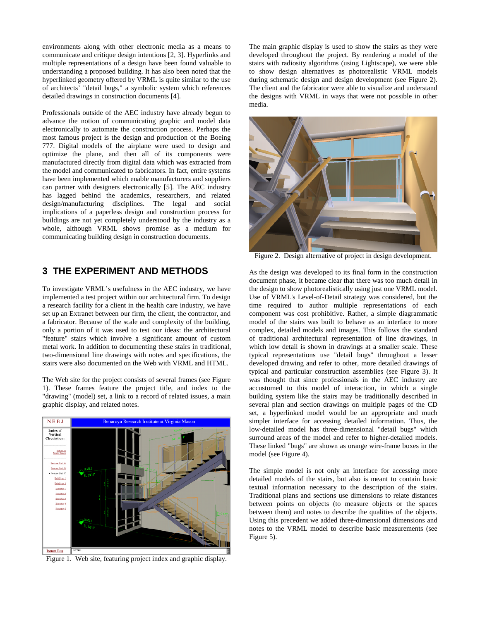environments along with other electronic media as a means to communicate and critique design intentions [2, 3]. Hyperlinks and multiple representations of a design have been found valuable to understanding a proposed building. It has also been noted that the hyperlinked geometry offered by VRML is quite similar to the use of architects' "detail bugs," a symbolic system which references detailed drawings in construction documents [4].

Professionals outside of the AEC industry have already begun to advance the notion of communicating graphic and model data electronically to automate the construction process. Perhaps the most famous project is the design and production of the Boeing 777. Digital models of the airplane were used to design and optimize the plane, and then all of its components were manufactured directly from digital data which was extracted from the model and communicated to fabricators. In fact, entire systems have been implemented which enable manufacturers and suppliers can partner with designers electronically [5]. The AEC industry has lagged behind the academics, researchers, and related design/manufacturing disciplines. The legal and social implications of a paperless design and construction process for buildings are not yet completely understood by the industry as a whole, although VRML shows promise as a medium for communicating building design in construction documents.

# **3 THE EXPERIMENT AND METHODS**

To investigate VRML's usefulness in the AEC industry, we have implemented a test project within our architectural firm. To design a research facility for a client in the health care industry, we have set up an Extranet between our firm, the client, the contractor, and a fabricator. Because of the scale and complexity of the building, only a portion of it was used to test our ideas: the architectural "feature" stairs which involve a significant amount of custom metal work. In addition to documenting these stairs in traditional, two-dimensional line drawings with notes and specifications, the stairs were also documented on the Web with VRML and HTML.

The Web site for the project consists of several frames (see Figure 1). These frames feature the project title, and index to the "drawing" (model) set, a link to a record of related issues, a main graphic display, and related notes.



Figure 1. Web site, featuring project index and graphic display.

The main graphic display is used to show the stairs as they were developed throughout the project. By rendering a model of the stairs with radiosity algorithms (using Lightscape), we were able to show design alternatives as photorealistic VRML models during schematic design and design development (see Figure 2). The client and the fabricator were able to visualize and understand the designs with VRML in ways that were not possible in other media.



Figure 2. Design alternative of project in design development.

As the design was developed to its final form in the construction document phase, it became clear that there was too much detail in the design to show photorealistically using just one VRML model. Use of VRML's Level-of-Detail strategy was considered, but the time required to author multiple representations of each component was cost prohibitive. Rather, a simple diagrammatic model of the stairs was built to behave as an interface to more complex, detailed models and images. This follows the standard of traditional architectural representation of line drawings, in which low detail is shown in drawings at a smaller scale. These typical representations use "detail bugs" throughout a lesser developed drawing and refer to other, more detailed drawings of typical and particular construction assemblies (see Figure 3). It was thought that since professionals in the AEC industry are accustomed to this model of interaction, in which a single building system like the stairs may be traditionally described in several plan and section drawings on multiple pages of the CD set, a hyperlinked model would be an appropriate and much simpler interface for accessing detailed information. Thus, the low-detailed model has three-dimensional "detail bugs" which surround areas of the model and refer to higher-detailed models. These linked "bugs" are shown as orange wire-frame boxes in the model (see Figure 4).

The simple model is not only an interface for accessing more detailed models of the stairs, but also is meant to contain basic textual information necessary to the description of the stairs. Traditional plans and sections use dimensions to relate distances between points on objects (to measure objects or the spaces between them) and notes to describe the qualities of the objects. Using this precedent we added three-dimensional dimensions and notes to the VRML model to describe basic measurements (see Figure 5).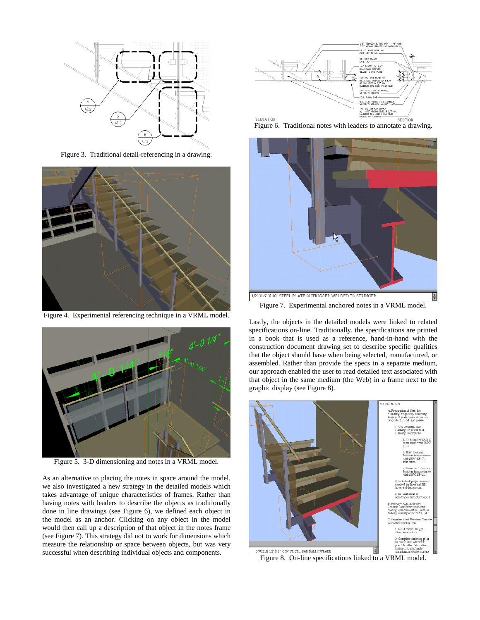

Figure 3. Traditional detail-referencing in a drawing.



Figure 4. Experimental referencing technique in a VRML model.



Figure 5. 3-D dimensioning and notes in a VRML model.

As an alternative to placing the notes in space around the model, we also investigated a new strategy in the detailed models which takes advantage of unique characteristics of frames. Rather than having notes with leaders to describe the objects as traditionally done in line drawings (see Figure 6), we defined each object in the model as an anchor. Clicking on any object in the model would then call up a description of that object in the notes frame (see Figure 7). This strategy did not to work for dimensions which measure the relationship or space between objects, but was very successful when describing individual objects and components.



Figure 6. Traditional notes with leaders to annotate a drawing.



Figure 7. Experimental anchored notes in a VRML model.

Lastly, the objects in the detailed models were linked to related specifications on-line. Traditionally, the specifications are printed in a book that is used as a reference, hand-in-hand with the construction document drawing set to describe specific qualities that the object should have when being selected, manufactured, or assembled. Rather than provide the specs in a separate medium, our approach enabled the user to read detailed text associated with that object in the same medium (the Web) in a frame next to the graphic display (see Figure 8).



Figure 8. On-line specifications linked to a VRML model.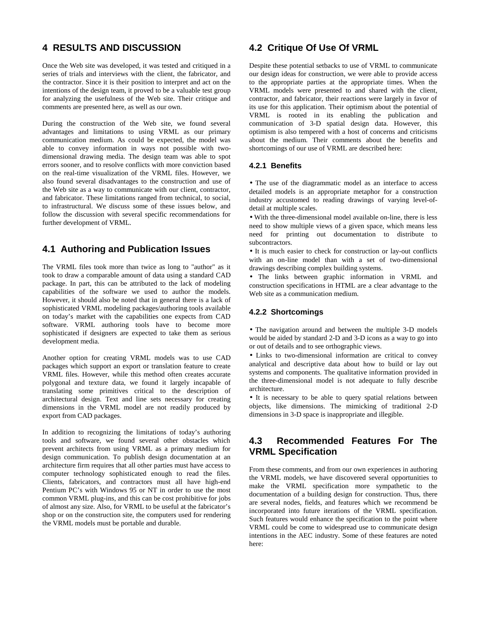# **4 RESULTS AND DISCUSSION**

Once the Web site was developed, it was tested and critiqued in a series of trials and interviews with the client, the fabricator, and the contractor. Since it is their position to interpret and act on the intentions of the design team, it proved to be a valuable test group for analyzing the usefulness of the Web site. Their critique and comments are presented here, as well as our own.

During the construction of the Web site, we found several advantages and limitations to using VRML as our primary communication medium. As could be expected, the model was able to convey information in ways not possible with twodimensional drawing media. The design team was able to spot errors sooner, and to resolve conflicts with more conviction based on the real-time visualization of the VRML files. However, we also found several disadvantages to the construction and use of the Web site as a way to communicate with our client, contractor, and fabricator. These limitations ranged from technical, to social, to infrastructural. We discuss some of these issues below, and follow the discussion with several specific recommendations for further development of VRML.

## **4.1 Authoring and Publication Issues**

The VRML files took more than twice as long to "author" as it took to draw a comparable amount of data using a standard CAD package. In part, this can be attributed to the lack of modeling capabilities of the software we used to author the models. However, it should also be noted that in general there is a lack of sophisticated VRML modeling packages/authoring tools available on today's market with the capabilities one expects from CAD software. VRML authoring tools have to become more sophisticated if designers are expected to take them as serious development media.

Another option for creating VRML models was to use CAD packages which support an export or translation feature to create VRML files. However, while this method often creates accurate polygonal and texture data, we found it largely incapable of translating some primitives critical to the description of architectural design. Text and line sets necessary for creating dimensions in the VRML model are not readily produced by export from CAD packages.

In addition to recognizing the limitations of today's authoring tools and software, we found several other obstacles which prevent architects from using VRML as a primary medium for design communication. To publish design documentation at an architecture firm requires that all other parties must have access to computer technology sophisticated enough to read the files. Clients, fabricators, and contractors must all have high-end Pentium PC's with Windows 95 or NT in order to use the most common VRML plug-ins, and this can be cost prohibitive for jobs of almost any size. Also, for VRML to be useful at the fabricator's shop or on the construction site, the computers used for rendering the VRML models must be portable and durable.

## **4.2 Critique Of Use Of VRML**

Despite these potential setbacks to use of VRML to communicate our design ideas for construction, we were able to provide access to the appropriate parties at the appropriate times. When the VRML models were presented to and shared with the client, contractor, and fabricator, their reactions were largely in favor of its use for this application. Their optimism about the potential of VRML is rooted in its enabling the publication and communication of 3-D spatial design data. However, this optimism is also tempered with a host of concerns and criticisms about the medium. Their comments about the benefits and shortcomings of our use of VRML are described here:

### **4.2.1 Benefits**

• The use of the diagrammatic model as an interface to access detailed models is an appropriate metaphor for a construction industry accustomed to reading drawings of varying level-ofdetail at multiple scales.

• With the three-dimensional model available on-line, there is less need to show multiple views of a given space, which means less need for printing out documentation to distribute to subcontractors.

• It is much easier to check for construction or lay-out conflicts with an on-line model than with a set of two-dimensional drawings describing complex building systems.

• The links between graphic information in VRML and construction specifications in HTML are a clear advantage to the Web site as a communication medium.

#### **4.2.2 Shortcomings**

• The navigation around and between the multiple 3-D models would be aided by standard 2-D and 3-D icons as a way to go into or out of details and to see orthographic views.

• Links to two-dimensional information are critical to convey analytical and descriptive data about how to build or lay out systems and components. The qualitative information provided in the three-dimensional model is not adequate to fully describe architecture.

• It is necessary to be able to query spatial relations between objects, like dimensions. The mimicking of traditional 2-D dimensions in 3-D space is inappropriate and illegible.

# **4.3 Recommended Features For The VRML Specification**

From these comments, and from our own experiences in authoring the VRML models, we have discovered several opportunities to make the VRML specification more sympathetic to the documentation of a building design for construction. Thus, there are several nodes, fields, and features which we recommend be incorporated into future iterations of the VRML specification. Such features would enhance the specification to the point where VRML could be come to widespread use to communicate design intentions in the AEC industry. Some of these features are noted here: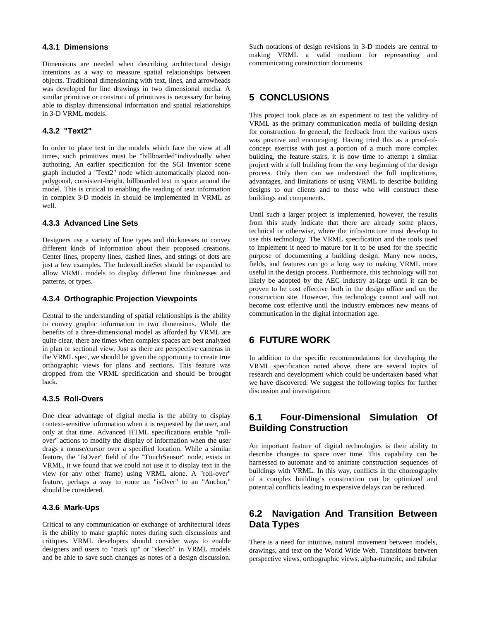#### **4.3.1 Dimensions**

Dimensions are needed when describing architectural design intentions as a way to measure spatial relationships between objects. Traditional dimensioning with text, lines, and arrowheads was developed for line drawings in two dimensional media. A similar primitive or construct of primitives is necessary for being able to display dimensional information and spatial relationships in 3-D VRML models.

## **4.3.2 "Text2"**

In order to place text in the models which face the view at all times, such primitives must be "billboarded"individually when authoring. An earlier specification for the SGI Inventor scene graph included a "Text2" node which automatically placed nonpolygonal, consistent-height, billboarded text in space around the model. This is critical to enabling the reading of text information in complex 3-D models in should be implemented in VRML as well.

#### **4.3.3 Advanced Line Sets**

Designers use a variety of line types and thicknesses to convey different kinds of information about their proposed creations. Center lines, property lines, dashed lines, and strings of dots are just a few examples. The IndexedLineSet should be expanded to allow VRML models to display different line thinknesses and patterns, or types.

#### **4.3.4 Orthographic Projection Viewpoints**

Central to the understanding of spatial relationships is the ability to convey graphic information in two dimensions. While the benefits of a three-dimensional model as afforded by VRML are quite clear, there are times when complex spaces are best analyzed in plan or sectional view. Just as there are perspective cameras in the VRML spec, we should be given the opportunity to create true orthographic views for plans and sections. This feature was dropped from the VRML specification and should be brought back.

#### **4.3.5 Roll-Overs**

One clear advantage of digital media is the ability to display context-sensitive information when it is requested by the user, and only at that time. Advanced HTML specifications enable "rollover" actions to modify the display of information when the user drags a mouse/cursor over a specified location. While a similar feature, the "IsOver" field of the "TouchSensor" node, exists in VRML, it we found that we could not use it to display text in the view (or any other frame) using VRML alone. A "roll-over" feature, perhaps a way to route an "isOver" to an "Anchor," should be considered.

### **4.3.6 Mark-Ups**

Critical to any communication or exchange of architectural ideas is the ability to make graphic notes during such discussions and critiques. VRML developers should consider ways to enable designers and users to "mark up" or "sketch" in VRML models and be able to save such changes as notes of a design discussion.

Such notations of design revisions in 3-D models are central to making VRML a valid medium for representing and communicating construction documents.

### **5 CONCLUSIONS**

This project took place as an experiment to test the validity of VRML as the primary communication media of building design for construction. In general, the feedback from the various users was positive and encouraging. Having tried this as a proof-ofconcept exercise with just a portion of a much more complex building, the feature stairs, it is now time to attempt a similar project with a full building from the very beginning of the design process. Only then can we understand the full implications, advantages, and limitations of using VRML to describe building designs to our clients and to those who will construct these buildings and components.

Until such a larger project is implemented, however, the results from this study indicate that there are already some places, technical or otherwise, where the infrastructure must develop to use this technology. The VRML specification and the tools used to implement it need to mature for it to be used for the specific purpose of documenting a building design. Many new nodes, fields, and features can go a long way to making VRML more useful in the design process. Furthermore, this technology will not likely be adopted by the AEC industry at-large until it can be proven to be cost effective both in the design office and on the construction site. However, this technology cannot and will not become cost effective until the industry embraces new means of communication in the digital information age.

## **6 FUTURE WORK**

In addition to the specific recommendations for developing the VRML specification noted above, there are several topics of research and development which could be undertaken based what we have discovered. We suggest the following topics for further discussion and investigation:

# **6.1 Four-Dimensional Simulation Of Building Construction**

An important feature of digital technologies is their ability to describe changes to space over time. This capability can be harnessed to automate and to animate construction sequences of buildings with VRML. In this way, conflicts in the choreography of a complex building's construction can be optimized and potential conflicts leading to expensive delays can be reduced.

## **6.2 Navigation And Transition Between Data Types**

There is a need for intuitive, natural movement between models, drawings, and text on the World Wide Web. Transitions between perspective views, orthographic views, alpha-numeric, and tabular